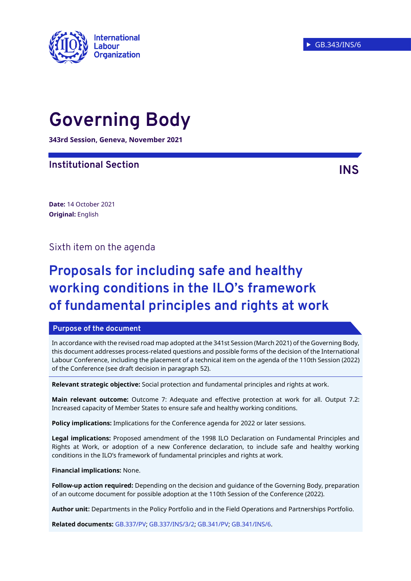

# **Governing Body**

**343rd Session, Geneva, November 2021**

### **Institutional Section INS**

**Date:** 14 October 2021 **Original:** English

### Sixth item on the agenda

## **Proposals for including safe and healthy working conditions in the ILO's framework of fundamental principles and rights at work**

#### **Purpose of the document**

In accordance with the revised road map adopted at the 341st Session (March 2021) of the Governing Body, this document addresses process-related questions and possible forms of the decision of the International Labour Conference, including the placement of a technical item on the agenda of the 110th Session (2022) of the Conference (see draft decision in paragraph 52).

**Relevant strategic objective:** Social protection and fundamental principles and rights at work.

**Main relevant outcome:** Outcome 7: Adequate and effective protection at work for all. Output 7.2: Increased capacity of Member States to ensure safe and healthy working conditions.

**Policy implications:** Implications for the Conference agenda for 2022 or later sessions.

**Legal implications:** Proposed amendment of the 1998 ILO Declaration on Fundamental Principles and Rights at Work, or adoption of a new Conference declaration, to include safe and healthy working conditions in the ILO's framework of fundamental principles and rights at work.

#### **Financial implications:** None.

**Follow-up action required:** Depending on the decision and guidance of the Governing Body, preparation of an outcome document for possible adoption at the 110th Session of the Conference (2022).

**Author unit:** Departments in the Policy Portfolio and in the Field Operations and Partnerships Portfolio.

**Related documents:** [GB.337/PV;](https://www.ilo.org/wcmsp5/groups/public/---ed_norm/---relconf/documents/meetingdocument/wcms_760869.pdf) [GB.337/INS/3/2;](https://www.ilo.org/wcmsp5/groups/public/---ed_norm/---relconf/documents/meetingdocument/wcms_723206.pdf) [GB.341/PV;](https://www.ilo.org/wcmsp5/groups/public/---ed_norm/---relconf/documents/meetingdocument/wcms_812283.pdf) [GB.341/INS/6.](https://www.ilo.org/wcmsp5/groups/public/---ed_norm/---relconf/documents/meetingdocument/wcms_769712.pdf)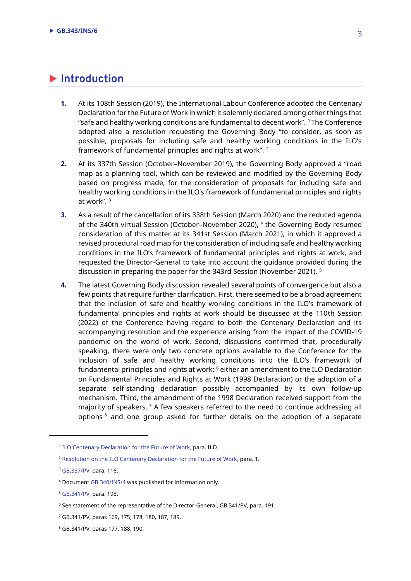### **Introduction**

- **1.** At its 108th Session (2019), the International Labour Conference adopted the Centenary Declaration for the Future of Work in which it solemnly declared among other things that "safe and healthy working conditions are fundamental to decent work". <sup>1</sup>The Conference adopted also a resolution requesting the Governing Body "to consider, as soon as possible, proposals for including safe and healthy working conditions in the ILO's framework of fundamental principles and rights at work". <sup>2</sup>
- **2.** At its 337th Session (October–November 2019), the Governing Body approved a "road map as a planning tool, which can be reviewed and modified by the Governing Body based on progress made, for the consideration of proposals for including safe and healthy working conditions in the ILO's framework of fundamental principles and rights at work". <sup>3</sup>
- **3.** As a result of the cancellation of its 338th Session (March 2020) and the reduced agenda of the 340th virtual Session (October–November 2020), <sup>4</sup> the Governing Body resumed consideration of this matter at its 341st Session (March 2021), in which it approved a revised procedural road map for the consideration of including safe and healthy working conditions in the ILO's framework of fundamental principles and rights at work, and requested the Director-General to take into account the guidance provided during the discussion in preparing the paper for the 343rd Session (November 2021). <sup>5</sup>
- **4.** The latest Governing Body discussion revealed several points of convergence but also a few points that require further clarification. First, there seemed to be a broad agreement that the inclusion of safe and healthy working conditions in the ILO's framework of fundamental principles and rights at work should be discussed at the 110th Session (2022) of the Conference having regard to both the Centenary Declaration and its accompanying resolution and the experience arising from the impact of the COVID-19 pandemic on the world of work. Second, discussions confirmed that, procedurally speaking, there were only two concrete options available to the Conference for the inclusion of safe and healthy working conditions into the ILO's framework of fundamental principles and rights at work: <sup>6</sup> either an amendment to the ILO Declaration on Fundamental Principles and Rights at Work (1998 Declaration) or the adoption of a separate self-standing declaration possibly accompanied by its own follow-up mechanism. Third, the amendment of the 1998 Declaration received support from the majority of speakers. <sup>7</sup> A few speakers referred to the need to continue addressing all options <sup>8</sup> and one group asked for further details on the adoption of a separate

 $\overline{\phantom{a}}$ 

<sup>&</sup>lt;sup>1</sup> [ILO Centenary Declaration for the Future of Work,](https://www.ilo.org/wcmsp5/groups/public/@ed_norm/@relconf/documents/meetingdocument/wcms_711674.pdf) para. II.D.

<sup>2</sup> [Resolution on the ILO Centenary Declaration for the Future of Work,](https://www.ilo.org/wcmsp5/groups/public/---ed_norm/---relconf/documents/meetingdocument/wcms_711659.pdf) para. 1.

<sup>3</sup> [GB.337/PV,](https://www.ilo.org/wcmsp5/groups/public/---ed_norm/---relconf/documents/meetingdocument/wcms_760869.pdf) para. 116.

<sup>4</sup> Documen[t GB.340/INS/4](https://www.ilo.org/wcmsp5/groups/public/---ed_norm/---relconf/documents/meetingdocument/wcms_757052.pdf) was published for information only.

<sup>5</sup> [GB.341/PV,](https://www.ilo.org/wcmsp5/groups/public/---ed_norm/---relconf/documents/meetingdocument/wcms_812283.pdf) para. 198.

<sup>&</sup>lt;sup>6</sup> See statement of the representative of the Director-General, GB.341/PV, para. 191.

<sup>7</sup> GB.341/PV, paras 169, 175, 178, 180, 187, 189.

<sup>8</sup> GB.341/PV, paras 177, 188, 190.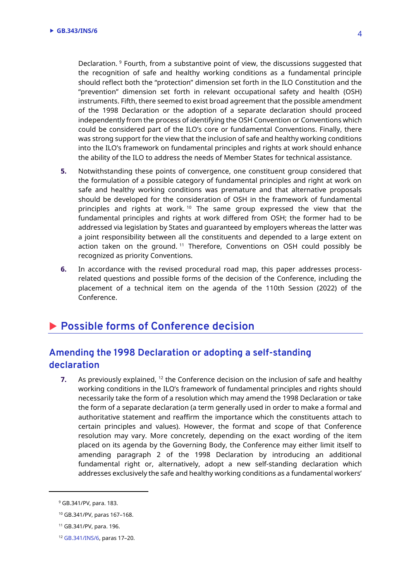Declaration. <sup>9</sup> Fourth, from a substantive point of view, the discussions suggested that the recognition of safe and healthy working conditions as a fundamental principle should reflect both the "protection" dimension set forth in the ILO Constitution and the "prevention" dimension set forth in relevant occupational safety and health (OSH) instruments. Fifth, there seemed to exist broad agreement that the possible amendment of the 1998 Declaration or the adoption of a separate declaration should proceed independently from the process of identifying the OSH Convention or Conventions which could be considered part of the ILO's core or fundamental Conventions. Finally, there was strong support for the view that the inclusion of safe and healthy working conditions into the ILO's framework on fundamental principles and rights at work should enhance the ability of the ILO to address the needs of Member States for technical assistance.

- **5.** Notwithstanding these points of convergence, one constituent group considered that the formulation of a possible category of fundamental principles and right at work on safe and healthy working conditions was premature and that alternative proposals should be developed for the consideration of OSH in the framework of fundamental principles and rights at work.<sup>10</sup> The same group expressed the view that the fundamental principles and rights at work differed from OSH; the former had to be addressed via legislation by States and guaranteed by employers whereas the latter was a joint responsibility between all the constituents and depended to a large extent on action taken on the ground.<sup>11</sup> Therefore, Conventions on OSH could possibly be recognized as priority Conventions.
- **6.** In accordance with the revised procedural road map, this paper addresses processrelated questions and possible forms of the decision of the Conference, including the placement of a technical item on the agenda of the 110th Session (2022) of the Conference.

### **Possible forms of Conference decision**

### **Amending the 1998 Declaration or adopting a self-standing declaration**

**7.** As previously explained, <sup>12</sup> the Conference decision on the inclusion of safe and healthy working conditions in the ILO's framework of fundamental principles and rights should necessarily take the form of a resolution which may amend the 1998 Declaration or take the form of a separate declaration (a term generally used in order to make a formal and authoritative statement and reaffirm the importance which the constituents attach to certain principles and values). However, the format and scope of that Conference resolution may vary. More concretely, depending on the exact wording of the item placed on its agenda by the Governing Body, the Conference may either limit itself to amending paragraph 2 of the 1998 Declaration by introducing an additional fundamental right or, alternatively, adopt a new self-standing declaration which addresses exclusively the safe and healthy working conditions as a fundamental workers'

 $\overline{a}$ 

<sup>9</sup> GB.341/PV, para. 183.

<sup>10</sup> GB.341/PV, paras 167–168.

<sup>11</sup> GB.341/PV, para. 196.

<sup>12</sup> [GB.341/INS/6,](https://www.ilo.org/wcmsp5/groups/public/---ed_norm/---relconf/documents/meetingdocument/wcms_769712.pdf) paras 17–20.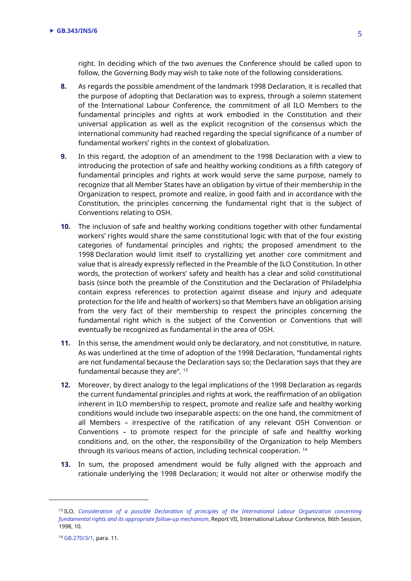right. In deciding which of the two avenues the Conference should be called upon to follow, the Governing Body may wish to take note of the following considerations.

- **8.** As regards the possible amendment of the landmark 1998 Declaration, it is recalled that the purpose of adopting that Declaration was to express, through a solemn statement of the International Labour Conference, the commitment of all ILO Members to the fundamental principles and rights at work embodied in the Constitution and their universal application as well as the explicit recognition of the consensus which the international community had reached regarding the special significance of a number of fundamental workers' rights in the context of globalization.
- **9.** In this regard, the adoption of an amendment to the 1998 Declaration with a view to introducing the protection of safe and healthy working conditions as a fifth category of fundamental principles and rights at work would serve the same purpose, namely to recognize that all Member States have an obligation by virtue of their membership in the Organization to respect, promote and realize, in good faith and in accordance with the Constitution, the principles concerning the fundamental right that is the subject of Conventions relating to OSH.
- **10.** The inclusion of safe and healthy working conditions together with other fundamental workers' rights would share the same constitutional logic with that of the four existing categories of fundamental principles and rights; the proposed amendment to the 1998 Declaration would limit itself to crystallizing yet another core commitment and value that is already expressly reflected in the Preamble of the ILO Constitution. In other words, the protection of workers' safety and health has a clear and solid constitutional basis (since both the preamble of the Constitution and the Declaration of Philadelphia contain express references to protection against disease and injury and adequate protection for the life and health of workers) so that Members have an obligation arising from the very fact of their membership to respect the principles concerning the fundamental right which is the subject of the Convention or Conventions that will eventually be recognized as fundamental in the area of OSH.
- **11.** In this sense, the amendment would only be declaratory, and not constitutive, in nature. As was underlined at the time of adoption of the 1998 Declaration, "fundamental rights are not fundamental because the Declaration says so; the Declaration says that they are fundamental because they are". <sup>13</sup>
- **12.** Moreover, by direct analogy to the legal implications of the 1998 Declaration as regards the current fundamental principles and rights at work, the reaffirmation of an obligation inherent in ILO membership to respect, promote and realize safe and healthy working conditions would include two inseparable aspects: on the one hand, the commitment of all Members – irrespective of the ratification of any relevant OSH Convention or Conventions – to promote respect for the principle of safe and healthy working conditions and, on the other, the responsibility of the Organization to help Members through its various means of action, including technical cooperation. <sup>14</sup>
- **13.** In sum, the proposed amendment would be fully aligned with the approach and rationale underlying the 1998 Declaration; it would not alter or otherwise modify the

 $\overline{a}$ 

<sup>13</sup> ILO, *[Consideration of a possible Declaration of principles of the International Labour Organization concerning](https://www.ilo.org/public/libdoc/ilo/1998/98B09_94_engl.pdf)  fundamental rights and its [appropriate follow-up mechanism](https://www.ilo.org/public/libdoc/ilo/1998/98B09_94_engl.pdf)*, Report VII, International Labour Conference, 86th Session, 1998, 10.

<sup>14</sup> [GB.270/3/1,](https://www.ilo.org/public/libdoc/ilo/GB/270/GB.270_3_1_engl.PDF) para. 11.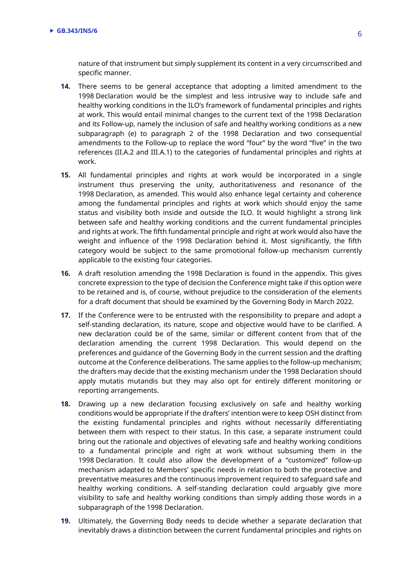nature of that instrument but simply supplement its content in a very circumscribed and specific manner.

- **14.** There seems to be general acceptance that adopting a limited amendment to the 1998 Declaration would be the simplest and less intrusive way to include safe and healthy working conditions in the ILO's framework of fundamental principles and rights at work. This would entail minimal changes to the current text of the 1998 Declaration and its Follow-up, namely the inclusion of safe and healthy working conditions as a new subparagraph (e) to paragraph 2 of the 1998 Declaration and two consequential amendments to the Follow-up to replace the word "four" by the word "five" in the two references (II.A.2 and III.A.1) to the categories of fundamental principles and rights at work.
- **15.** All fundamental principles and rights at work would be incorporated in a single instrument thus preserving the unity, authoritativeness and resonance of the 1998 Declaration, as amended. This would also enhance legal certainty and coherence among the fundamental principles and rights at work which should enjoy the same status and visibility both inside and outside the ILO. It would highlight a strong link between safe and healthy working conditions and the current fundamental principles and rights at work. The fifth fundamental principle and right at work would also have the weight and influence of the 1998 Declaration behind it. Most significantly, the fifth category would be subject to the same promotional follow-up mechanism currently applicable to the existing four categories.
- **16.** A draft resolution amending the 1998 Declaration is found in the appendix. This gives concrete expression to the type of decision the Conference might take if this option were to be retained and is, of course, without prejudice to the consideration of the elements for a draft document that should be examined by the Governing Body in March 2022.
- **17.** If the Conference were to be entrusted with the responsibility to prepare and adopt a self-standing declaration, its nature, scope and objective would have to be clarified. A new declaration could be of the same, similar or different content from that of the declaration amending the current 1998 Declaration. This would depend on the preferences and guidance of the Governing Body in the current session and the drafting outcome at the Conference deliberations. The same applies to the follow-up mechanism; the drafters may decide that the existing mechanism under the 1998 Declaration should apply mutatis mutandis but they may also opt for entirely different monitoring or reporting arrangements.
- **18.** Drawing up a new declaration focusing exclusively on safe and healthy working conditions would be appropriate if the drafters' intention were to keep OSH distinct from the existing fundamental principles and rights without necessarily differentiating between them with respect to their status. In this case, a separate instrument could bring out the rationale and objectives of elevating safe and healthy working conditions to a fundamental principle and right at work without subsuming them in the 1998 Declaration. It could also allow the development of a "customized" follow-up mechanism adapted to Members' specific needs in relation to both the protective and preventative measures and the continuous improvement required to safeguard safe and healthy working conditions. A self-standing declaration could arguably give more visibility to safe and healthy working conditions than simply adding those words in a subparagraph of the 1998 Declaration.
- **19.** Ultimately, the Governing Body needs to decide whether a separate declaration that inevitably draws a distinction between the current fundamental principles and rights on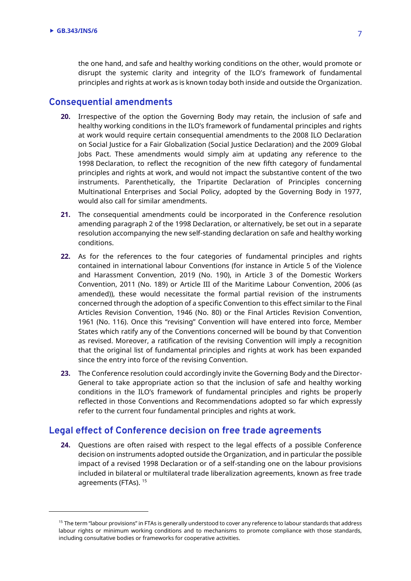$\overline{a}$ 

the one hand, and safe and healthy working conditions on the other, would promote or disrupt the systemic clarity and integrity of the ILO's framework of fundamental principles and rights at work as is known today both inside and outside the Organization.

#### **Consequential amendments**

- **20.** Irrespective of the option the Governing Body may retain, the inclusion of safe and healthy working conditions in the ILO's framework of fundamental principles and rights at work would require certain consequential amendments to the 2008 ILO Declaration on Social Justice for a Fair Globalization (Social Justice Declaration) and the 2009 Global Jobs Pact. These amendments would simply aim at updating any reference to the 1998 Declaration, to reflect the recognition of the new fifth category of fundamental principles and rights at work, and would not impact the substantive content of the two instruments. Parenthetically, the Tripartite Declaration of Principles concerning Multinational Enterprises and Social Policy, adopted by the Governing Body in 1977, would also call for similar amendments.
- **21.** The consequential amendments could be incorporated in the Conference resolution amending paragraph 2 of the 1998 Declaration, or alternatively, be set out in a separate resolution accompanying the new self-standing declaration on safe and healthy working conditions.
- **22.** As for the references to the four categories of fundamental principles and rights contained in international labour Conventions (for instance in Article 5 of the Violence and Harassment Convention, 2019 (No. 190), in Article 3 of the Domestic Workers Convention, 2011 (No. 189) or Article III of the Maritime Labour Convention, 2006 (as amended)), these would necessitate the formal partial revision of the instruments concerned through the adoption of a specific Convention to this effect similar to the Final Articles Revision Convention, 1946 (No. 80) or the Final Articles Revision Convention, 1961 (No. 116). Once this "revising" Convention will have entered into force, Member States which ratify any of the Conventions concerned will be bound by that Convention as revised. Moreover, a ratification of the revising Convention will imply a recognition that the original list of fundamental principles and rights at work has been expanded since the entry into force of the revising Convention.
- **23.** The Conference resolution could accordingly invite the Governing Body and the Director-General to take appropriate action so that the inclusion of safe and healthy working conditions in the ILO's framework of fundamental principles and rights be properly reflected in those Conventions and Recommendations adopted so far which expressly refer to the current four fundamental principles and rights at work.

#### **Legal effect of Conference decision on free trade agreements**

**24.** Questions are often raised with respect to the legal effects of a possible Conference decision on instruments adopted outside the Organization, and in particular the possible impact of a revised 1998 Declaration or of a self-standing one on the labour provisions included in bilateral or multilateral trade liberalization agreements, known as free trade agreements (FTAs). <sup>15</sup>

<sup>&</sup>lt;sup>15</sup> The term "labour provisions" in FTAs is generally understood to cover any reference to labour standards that address labour rights or minimum working conditions and to mechanisms to promote compliance with those standards, including consultative bodies or frameworks for cooperative activities.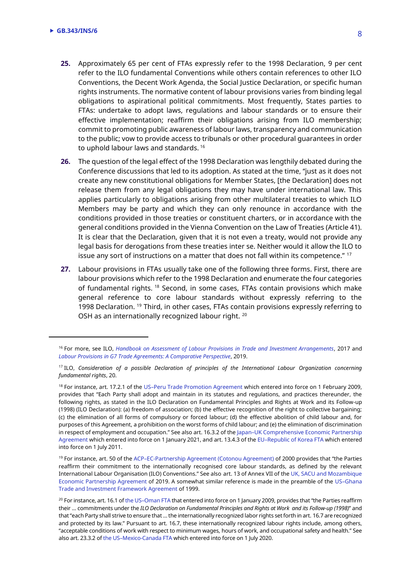$\overline{\phantom{a}}$ 

- **25.** Approximately 65 per cent of FTAs expressly refer to the 1998 Declaration, 9 per cent refer to the ILO fundamental Conventions while others contain references to other ILO Conventions, the Decent Work Agenda, the Social Justice Declaration, or specific human rights instruments. The normative content of labour provisions varies from binding legal obligations to aspirational political commitments. Most frequently, States parties to FTAs: undertake to adopt laws, regulations and labour standards or to ensure their effective implementation; reaffirm their obligations arising from ILO membership; commit to promoting public awareness of labour laws, transparency and communication to the public; vow to provide access to tribunals or other procedural guarantees in order to uphold labour laws and standards. <sup>16</sup>
- **26.** The question of the legal effect of the 1998 Declaration was lengthily debated during the Conference discussions that led to its adoption. As stated at the time, "just as it does not create any new constitutional obligations for Member States, [the Declaration] does not release them from any legal obligations they may have under international law. This applies particularly to obligations arising from other multilateral treaties to which ILO Members may be party and which they can only renounce in accordance with the conditions provided in those treaties or constituent charters, or in accordance with the general conditions provided in the Vienna Convention on the Law of Treaties (Article 41). It is clear that the Declaration, given that it is not even a treaty, would not provide any legal basis for derogations from these treaties inter se. Neither would it allow the ILO to issue any sort of instructions on a matter that does not fall within its competence." <sup>17</sup>
- **27.** Labour provisions in FTAs usually take one of the following three forms. First, there are labour provisions which refer to the 1998 Declaration and enumerate the four categories of fundamental rights. <sup>18</sup> Second, in some cases, FTAs contain provisions which make general reference to core labour standards without expressly referring to the 1998 Declaration. <sup>19</sup> Third, in other cases, FTAs contain provisions expressly referring to OSH as an internationally recognized labour right. <sup>20</sup>

<sup>16</sup> For more, see ILO, *[Handbook on Assessment of Labour Provisions in Trade and Investment Arrangements](https://www.ilo.org/wcmsp5/groups/public/---dgreports/---inst/documents/publication/wcms_564702.pdf)*, 2017 and *[Labour Provisions in G7 Trade Agreements: A Comparative Perspective](https://www.ilo.org/wcmsp5/groups/public/---dgreports/---inst/documents/publication/wcms_719226.pdf)*, 2019.

<sup>17</sup> ILO, *Consideration of a possible Declaration of principles of the International Labour Organization concerning fundamental rights*, 20.

<sup>&</sup>lt;sup>18</sup> For instance, art. 17.2.1 of the US–[Peru Trade Promotion Agreement](https://ustr.gov/sites/default/files/uploads/agreements/fta/peru/asset_upload_file73_9496.pdf) which entered into force on 1 February 2009, provides that "Each Party shall adopt and maintain in its statutes and regulations, and practices thereunder, the following rights, as stated in the ILO Declaration on Fundamental Principles and Rights at Work and its Follow-up (1998) (ILO Declaration): (a) freedom of association; (b) the effective recognition of the right to collective bargaining; (c) the elimination of all forms of compulsory or forced labour; (d) the effective abolition of child labour and, for purposes of this Agreement, a prohibition on the worst forms of child labour; and (e) the elimination of discrimination in respect of employment and occupation." See also art. 16.3.2 of the Japan–[UK Comprehensive Economic Partnership](https://www.mofa.go.jp/files/100111408.pdf)  [Agreement](https://www.mofa.go.jp/files/100111408.pdf) which entered into force on 1 January 2021, and art. 13.4.3 of the EU–[Republic of Korea FTA](http://publications.europa.eu/resource/cellar/a2fb2aa6-c85d-4223-9880-403cc5c1daa2.0022.03/DOC_1#L_2011127EN.01000601) which entered into force on 1 July 2011.

<sup>&</sup>lt;sup>19</sup> For instance, art. 50 of the ACP–[EC-Partnership Agreement \(Cotonou Agreement\)](http://www.acp.int/sites/acpsec.waw.be/files/Cotonou2000.pdf) of 2000 provides that "the Parties reaffirm their commitment to the internationally recognised core labour standards, as defined by the relevant International Labour Organisation (ILO) Conventions." See also art. 13 of Annex VII of th[e UK, SACU and Mozambique](https://www.sacu.int/docs/agreements/2021/SACU-Mozambique-UK-EPA-EN.pdf)  [Economic Partnership Agreement](https://www.sacu.int/docs/agreements/2021/SACU-Mozambique-UK-EPA-EN.pdf) of 2019. A somewhat similar reference is made in the preamble of the US–[Ghana](https://ustr.gov/sites/default/files/uploads/agreements/tifa/asset_upload_file126_7726.pdf)  [Trade and Investment Framework Agreement](https://ustr.gov/sites/default/files/uploads/agreements/tifa/asset_upload_file126_7726.pdf) of 1999.

<sup>&</sup>lt;sup>20</sup> For instance, art. 16.1 of the US-[Oman FTA](https://ustr.gov/sites/default/files/uploads/agreements/fta/oman/asset_upload_file901_8812.pdf) that entered into force on 1 January 2009, provides that "the Parties reaffirm their … commitments under the *ILO Declaration on Fundamental Principles and Rights at Work and its Follow-up (1998)*" and that "each Party shall strive to ensure that … the internationally recognized labor rights set forth in art. 16.7 are recognized and protected by its law." Pursuant to art. 16.7, these internationally recognized labour rights include, among others, "acceptable conditions of work with respect to minimum wages, hours of work, and occupational safety and health." See also art. 23.3.2 of the US–[Mexico-Canada FTA](https://ustr.gov/sites/default/files/files/agreements/FTA/USMCA/Text/23%20Labor.pdf) which entered into force on 1 July 2020.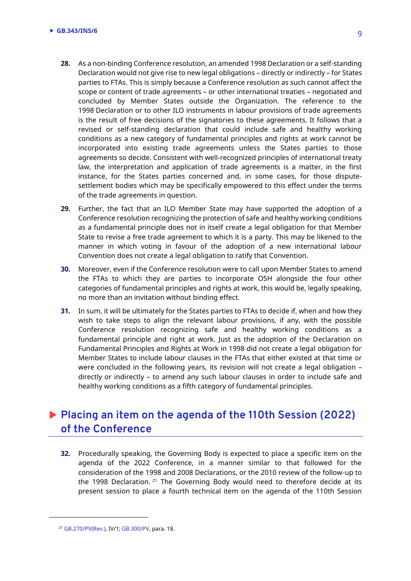- **28.** As a non-binding Conference resolution, an amended 1998 Declaration or a self-standing Declaration would not give rise to new legal obligations – directly or indirectly – for States parties to FTAs. This is simply because a Conference resolution as such cannot affect the scope or content of trade agreements – or other international treaties – negotiated and concluded by Member States outside the Organization. The reference to the 1998 Declaration or to other ILO instruments in labour provisions of trade agreements is the result of free decisions of the signatories to these agreements. It follows that a revised or self-standing declaration that could include safe and healthy working conditions as a new category of fundamental principles and rights at work cannot be incorporated into existing trade agreements unless the States parties to those agreements so decide. Consistent with well-recognized principles of international treaty law, the interpretation and application of trade agreements is a matter, in the first instance, for the States parties concerned and, in some cases, for those disputesettlement bodies which may be specifically empowered to this effect under the terms of the trade agreements in question.
- **29.** Further, the fact that an ILO Member State may have supported the adoption of a Conference resolution recognizing the protection of safe and healthy working conditions as a fundamental principle does not in itself create a legal obligation for that Member State to revise a free trade agreement to which it is a party. This may be likened to the manner in which voting in favour of the adoption of a new international labour Convention does not create a legal obligation to ratify that Convention.
- **30.** Moreover, even if the Conference resolution were to call upon Member States to amend the FTAs to which they are parties to incorporate OSH alongside the four other categories of fundamental principles and rights at work, this would be, legally speaking, no more than an invitation without binding effect.
- **31.** In sum, it will be ultimately for the States parties to FTAs to decide if, when and how they wish to take steps to align the relevant labour provisions, if any, with the possible Conference resolution recognizing safe and healthy working conditions as a fundamental principle and right at work. Just as the adoption of the Declaration on Fundamental Principles and Rights at Work in 1998 did not create a legal obligation for Member States to include labour clauses in the FTAs that either existed at that time or were concluded in the following years, its revision will not create a legal obligation – directly or indirectly – to amend any such labour clauses in order to include safe and healthy working conditions as a fifth category of fundamental principles.

### **Placing an item on the agenda of the 110th Session (2022) of the Conference**

**32.** Procedurally speaking, the Governing Body is expected to place a specific item on the agenda of the 2022 Conference, in a manner similar to that followed for the consideration of the 1998 and 2008 Declarations, or the 2010 review of the follow-up to the 1998 Declaration.<sup>21</sup> The Governing Body would need to therefore decide at its present session to place a fourth technical item on the agenda of the 110th Session

 $\overline{\phantom{a}}$ 

<sup>21</sup> [GB.270/PV\(Rev.\),](https://www.ilo.org/public/libdoc/ilo/P/09601/09601(1997-270).pdf) IV/1[; GB.300/PV,](https://www.ilo.org/wcmsp5/groups/public/---ed_norm/---relconf/documents/meetingdocument/wcms_091717.pdf) para. 18.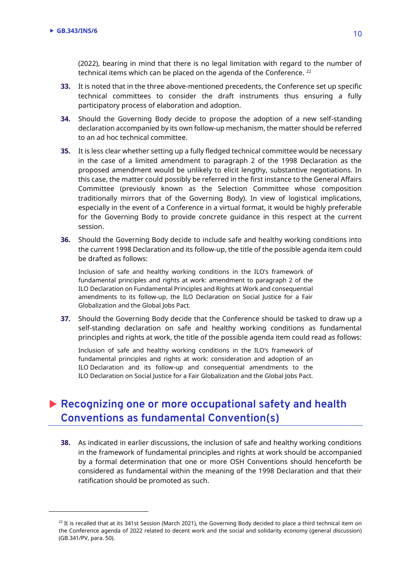$\overline{a}$ 

(2022), bearing in mind that there is no legal limitation with regard to the number of technical items which can be placed on the agenda of the Conference.<sup>22</sup>

- **33.** It is noted that in the three above-mentioned precedents, the Conference set up specific technical committees to consider the draft instruments thus ensuring a fully participatory process of elaboration and adoption.
- **34.** Should the Governing Body decide to propose the adoption of a new self-standing declaration accompanied by its own follow-up mechanism, the matter should be referred to an ad hoc technical committee.
- **35.** It is less clear whether setting up a fully fledged technical committee would be necessary in the case of a limited amendment to paragraph 2 of the 1998 Declaration as the proposed amendment would be unlikely to elicit lengthy, substantive negotiations. In this case, the matter could possibly be referred in the first instance to the General Affairs Committee (previously known as the Selection Committee whose composition traditionally mirrors that of the Governing Body). In view of logistical implications, especially in the event of a Conference in a virtual format, it would be highly preferable for the Governing Body to provide concrete guidance in this respect at the current session.
- **36.** Should the Governing Body decide to include safe and healthy working conditions into the current 1998 Declaration and its follow-up, the title of the possible agenda item could be drafted as follows:

Inclusion of safe and healthy working conditions in the ILO's framework of fundamental principles and rights at work: amendment to paragraph 2 of the ILO Declaration on Fundamental Principles and Rights at Work and consequential amendments to its follow-up, the ILO Declaration on Social Justice for a Fair Globalization and the Global Jobs Pact.

**37.** Should the Governing Body decide that the Conference should be tasked to draw up a self-standing declaration on safe and healthy working conditions as fundamental principles and rights at work, the title of the possible agenda item could read as follows:

Inclusion of safe and healthy working conditions in the ILO's framework of fundamental principles and rights at work: consideration and adoption of an ILO Declaration and its follow-up and consequential amendments to the ILO Declaration on Social Justice for a Fair Globalization and the Global Jobs Pact.

### **Recognizing one or more occupational safety and health Conventions as fundamental Convention(s)**

**38.** As indicated in earlier discussions, the inclusion of safe and healthy working conditions in the framework of fundamental principles and rights at work should be accompanied by a formal determination that one or more OSH Conventions should henceforth be considered as fundamental within the meaning of the 1998 Declaration and that their ratification should be promoted as such.

 $22$  It is recalled that at its 341st Session (March 2021), the Governing Body decided to place a third technical item on the Conference agenda of 2022 related to decent work and the social and solidarity economy (general discussion) (GB.341/PV, para. 50).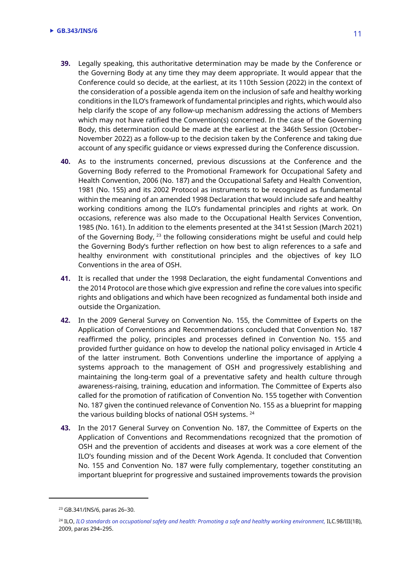- **39.** Legally speaking, this authoritative determination may be made by the Conference or the Governing Body at any time they may deem appropriate. It would appear that the Conference could so decide, at the earliest, at its 110th Session (2022) in the context of the consideration of a possible agenda item on the inclusion of safe and healthy working conditions in the ILO's framework of fundamental principles and rights, which would also help clarify the scope of any follow-up mechanism addressing the actions of Members which may not have ratified the Convention(s) concerned. In the case of the Governing Body, this determination could be made at the earliest at the 346th Session (October– November 2022) as a follow-up to the decision taken by the Conference and taking due account of any specific guidance or views expressed during the Conference discussion.
- **40.** As to the instruments concerned, previous discussions at the Conference and the Governing Body referred to the Promotional Framework for Occupational Safety and Health Convention, 2006 (No. 187) and the Occupational Safety and Health Convention, 1981 (No. 155) and its 2002 Protocol as instruments to be recognized as fundamental within the meaning of an amended 1998 Declaration that would include safe and healthy working conditions among the ILO's fundamental principles and rights at work. On occasions, reference was also made to the Occupational Health Services Convention, 1985 (No. 161). In addition to the elements presented at the 341st Session (March 2021) of the Governing Body,  $^{23}$  the following considerations might be useful and could help the Governing Body's further reflection on how best to align references to a safe and healthy environment with constitutional principles and the objectives of key ILO Conventions in the area of OSH.
- **41.** It is recalled that under the 1998 Declaration, the eight fundamental Conventions and the 2014 Protocol are those which give expression and refine the core values into specific rights and obligations and which have been recognized as fundamental both inside and outside the Organization.
- **42.** In the 2009 General Survey on Convention No. 155, the Committee of Experts on the Application of Conventions and Recommendations concluded that Convention No. 187 reaffirmed the policy, principles and processes defined in Convention No. 155 and provided further guidance on how to develop the national policy envisaged in Article 4 of the latter instrument. Both Conventions underline the importance of applying a systems approach to the management of OSH and progressively establishing and maintaining the long-term goal of a preventative safety and health culture through awareness-raising, training, education and information. The Committee of Experts also called for the promotion of ratification of Convention No. 155 together with Convention No. 187 given the continued relevance of Convention No. 155 as a blueprint for mapping the various building blocks of national OSH systems. <sup>24</sup>
- **43.** In the 2017 General Survey on Convention No. 187, the Committee of Experts on the Application of Conventions and Recommendations recognized that the promotion of OSH and the prevention of accidents and diseases at work was a core element of the ILO's founding mission and of the Decent Work Agenda. It concluded that Convention No. 155 and Convention No. 187 were fully complementary, together constituting an important blueprint for progressive and sustained improvements towards the provision

l

<sup>23</sup> GB.341/INS/6, paras 26–30.

<sup>&</sup>lt;sup>24</sup> [ILO,](https://www.ilo.org/wcmsp5/groups/public/---ed_norm/---relconf/documents/meetingdocument/wcms_103485.pdf) *ILO standards on occupational safety and health: Promoting a safe and healthy working environment, ILC.98/III(1B)*, 2009, paras 294–295.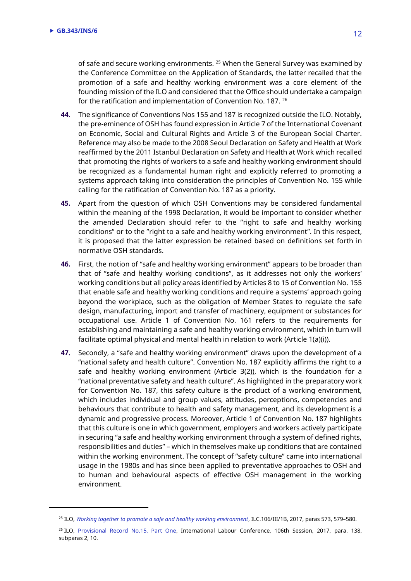$\overline{a}$ 

of safe and secure working environments. <sup>25</sup> When the General Survey was examined by the Conference Committee on the Application of Standards, the latter recalled that the promotion of a safe and healthy working environment was a core element of the founding mission of the ILO and considered that the Office should undertake a campaign for the ratification and implementation of Convention No. 187. <sup>26</sup>

- **44.** The significance of Conventions Nos 155 and 187 is recognized outside the ILO. Notably, the pre-eminence of OSH has found expression in Article 7 of the International Covenant on Economic, Social and Cultural Rights and Article 3 of the European Social Charter. Reference may also be made to the 2008 Seoul Declaration on Safety and Health at Work reaffirmed by the 2011 Istanbul Declaration on Safety and Health at Work which recalled that promoting the rights of workers to a safe and healthy working environment should be recognized as a fundamental human right and explicitly referred to promoting a systems approach taking into consideration the principles of Convention No. 155 while calling for the ratification of Convention No. 187 as a priority.
- **45.** Apart from the question of which OSH Conventions may be considered fundamental within the meaning of the 1998 Declaration, it would be important to consider whether the amended Declaration should refer to the "right to safe and healthy working conditions" or to the "right to a safe and healthy working environment". In this respect, it is proposed that the latter expression be retained based on definitions set forth in normative OSH standards.
- **46.** First, the notion of "safe and healthy working environment" appears to be broader than that of "safe and healthy working conditions", as it addresses not only the workers' working conditions but all policy areas identified by Articles 8 to 15 of Convention No. 155 that enable safe and healthy working conditions and require a systems' approach going beyond the workplace, such as the obligation of Member States to regulate the safe design, manufacturing, import and transfer of machinery, equipment or substances for occupational use. Article 1 of Convention No. 161 refers to the requirements for establishing and maintaining a safe and healthy working environment, which in turn will facilitate optimal physical and mental health in relation to work (Article 1(a)(i)).
- **47.** Secondly, a "safe and healthy working environment" draws upon the development of a "national safety and health culture". Convention No. 187 explicitly affirms the right to a safe and healthy working environment (Article 3(2)), which is the foundation for a "national preventative safety and health culture". As highlighted in the preparatory work for Convention No. 187, this safety culture is the product of a working environment, which includes individual and group values, attitudes, perceptions, competencies and behaviours that contribute to health and safety management, and its development is a dynamic and progressive process. Moreover, Article 1 of Convention No. 187 highlights that this culture is one in which government, employers and workers actively participate in securing "a safe and healthy working environment through a system of defined rights, responsibilities and duties" – which in themselves make up conditions that are contained within the working environment. The concept of "safety culture" came into international usage in the 1980s and has since been applied to preventative approaches to OSH and to human and behavioural aspects of effective OSH management in the working environment.

<sup>&</sup>lt;sup>25</sup> ILO, [Working together to promote a safe and healthy working environment](https://www.ilo.org/wcmsp5/groups/public/---ed_norm/---relconf/documents/meetingdocument/wcms_543647.pdf), ILC.106/III/1B, 2017, paras 573, 579-580.

<sup>&</sup>lt;sup>26</sup> ILO, [Provisional Record No.15, Part One,](https://www.ilo.org/wcmsp5/groups/public/---ed_norm/---relconf/documents/meetingdocument/wcms_558641.pdf) International Labour Conference, 106th Session, 2017, para. 138, subparas 2, 10.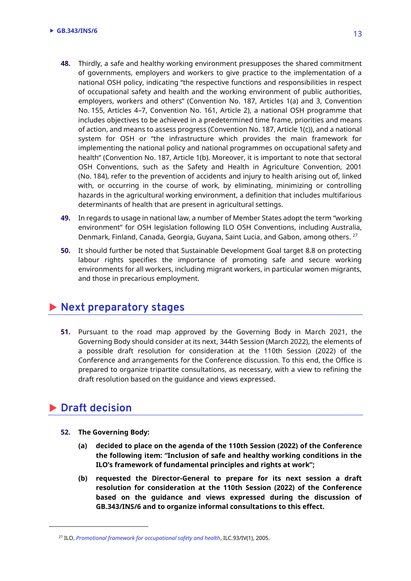- **48.** Thirdly, a safe and healthy working environment presupposes the shared commitment of governments, employers and workers to give practice to the implementation of a national OSH policy, indicating "the respective functions and responsibilities in respect of occupational safety and health and the working environment of public authorities, employers, workers and others" (Convention No. 187, Articles 1(a) and 3, Convention No. 155, Articles 4–7, Convention No. 161, Article 2), a national OSH programme that includes objectives to be achieved in a predetermined time frame, priorities and means of action, and means to assess progress (Convention No. 187, Article 1(c)), and a national system for OSH or "the infrastructure which provides the main framework for implementing the national policy and national programmes on occupational safety and health" (Convention No. 187, Article 1(b). Moreover, it is important to note that sectoral OSH Conventions, such as the Safety and Health in Agriculture Convention, 2001 (No. 184), refer to the prevention of accidents and injury to health arising out of, linked with, or occurring in the course of work, by eliminating, minimizing or controlling hazards in the agricultural working environment, a definition that includes multifarious determinants of health that are present in agricultural settings.
- **49.** In regards to usage in national law, a number of Member States adopt the term "working environment" for OSH legislation following ILO OSH Conventions, including Australia, Denmark, Finland, Canada, Georgia, Guyana, Saint Lucia, and Gabon, among others. <sup>27</sup>
- **50.** It should further be noted that Sustainable Development Goal target 8.8 on protecting labour rights specifies the importance of promoting safe and secure working environments for all workers, including migrant workers, in particular women migrants, and those in precarious employment.

### **Next preparatory stages**

**51.** Pursuant to the road map approved by the Governing Body in March 2021, the Governing Body should consider at its next, 344th Session (March 2022), the elements of a possible draft resolution for consideration at the 110th Session (2022) of the Conference and arrangements for the Conference discussion. To this end, the Office is prepared to organize tripartite consultations, as necessary, with a view to refining the draft resolution based on the guidance and views expressed.

### **Draft decision**

l

- **52. The Governing Body:**
	- **(a) decided to place on the agenda of the 110th Session (2022) of the Conference the following item: "Inclusion of safe and healthy working conditions in the ILO's framework of fundamental principles and rights at work";**
	- **(b) requested the Director-General to prepare for its next session a draft resolution for consideration at the 110th Session (2022) of the Conference based on the guidance and views expressed during the discussion of GB.343/INS/6 and to organize informal consultations to this effect.**

<sup>27</sup> ILO, *[Promotional framework for occupational safety and health](https://www.ilo.org/public/english/standards/relm/ilc/ilc93/pdf/rep-iv-1.pdf)*, ILC.93/IV(1), 2005.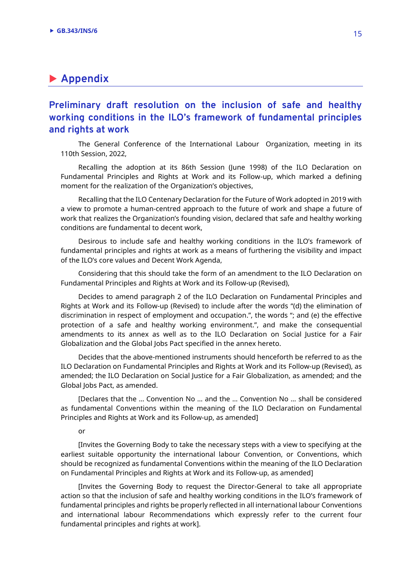### **Appendix**

**Preliminary draft resolution on the inclusion of safe and healthy working conditions in the ILO's framework of fundamental principles and rights at work**

The General Conference of the International Labour Organization, meeting in its 110th Session, 2022,

Recalling the adoption at its 86th Session (June 1998) of the ILO Declaration on Fundamental Principles and Rights at Work and its Follow-up, which marked a defining moment for the realization of the Organization's objectives,

Recalling that the ILO Centenary Declaration for the Future of Work adopted in 2019 with a view to promote a human-centred approach to the future of work and shape a future of work that realizes the Organization's founding vision, declared that safe and healthy working conditions are fundamental to decent work,

Desirous to include safe and healthy working conditions in the ILO's framework of fundamental principles and rights at work as a means of furthering the visibility and impact of the ILO's core values and Decent Work Agenda,

Considering that this should take the form of an amendment to the ILO Declaration on Fundamental Principles and Rights at Work and its Follow-up (Revised),

Decides to amend paragraph 2 of the ILO Declaration on Fundamental Principles and Rights at Work and its Follow-up (Revised) to include after the words "(d) the elimination of discrimination in respect of employment and occupation.", the words "; and (e) the effective protection of a safe and healthy working environment.", and make the consequential amendments to its annex as well as to the ILO Declaration on Social Justice for a Fair Globalization and the Global Jobs Pact specified in the annex hereto.

Decides that the above-mentioned instruments should henceforth be referred to as the ILO Declaration on Fundamental Principles and Rights at Work and its Follow-up (Revised), as amended; the ILO Declaration on Social Justice for a Fair Globalization, as amended; and the Global Jobs Pact, as amended.

[Declares that the … Convention No … and the … Convention No … shall be considered as fundamental Conventions within the meaning of the ILO Declaration on Fundamental Principles and Rights at Work and its Follow-up, as amended]

or

[Invites the Governing Body to take the necessary steps with a view to specifying at the earliest suitable opportunity the international labour Convention, or Conventions, which should be recognized as fundamental Conventions within the meaning of the ILO Declaration on Fundamental Principles and Rights at Work and its Follow-up, as amended]

[Invites the Governing Body to request the Director-General to take all appropriate action so that the inclusion of safe and healthy working conditions in the ILO's framework of fundamental principles and rights be properly reflected in all international labour Conventions and international labour Recommendations which expressly refer to the current four fundamental principles and rights at work].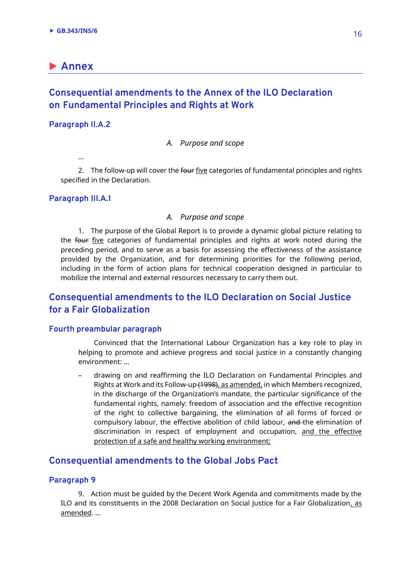### **Annex**

### **Consequential amendments to the Annex of the ILO Declaration on Fundamental Principles and Rights at Work**

#### **Paragraph II.A.2**

#### *A. Purpose and scope*

…

2. The follow-up will cover the four five categories of fundamental principles and rights specified in the Declaration.

#### **Paragraph III.A.1**

#### *A. Purpose and scope*

1. The purpose of the Global Report is to provide a dynamic global picture relating to the four five categories of fundamental principles and rights at work noted during the preceding period, and to serve as a basis for assessing the effectiveness of the assistance provided by the Organization, and for determining priorities for the following period, including in the form of action plans for technical cooperation designed in particular to mobilize the internal and external resources necessary to carry them out.

### **Consequential amendments to the ILO Declaration on Social Justice for a Fair Globalization**

#### **Fourth preambular paragraph**

Convinced that the International Labour Organization has a key role to play in helping to promote and achieve progress and social justice in a constantly changing environment: …

– drawing on and reaffirming the ILO Declaration on Fundamental Principles and Rights at Work and its Follow-up (1998), as amended, in which Members recognized, in the discharge of the Organization's mandate, the particular significance of the fundamental rights, namely: freedom of association and the effective recognition of the right to collective bargaining, the elimination of all forms of forced or compulsory labour, the effective abolition of child labour, and the elimination of discrimination in respect of employment and occupation, and the effective protection of a safe and healthy working environment;

#### **Consequential amendments to the Global Jobs Pact**

#### **Paragraph 9**

9. Action must be guided by the Decent Work Agenda and commitments made by the ILO and its constituents in the 2008 Declaration on Social Justice for a Fair Globalization, as amended. …